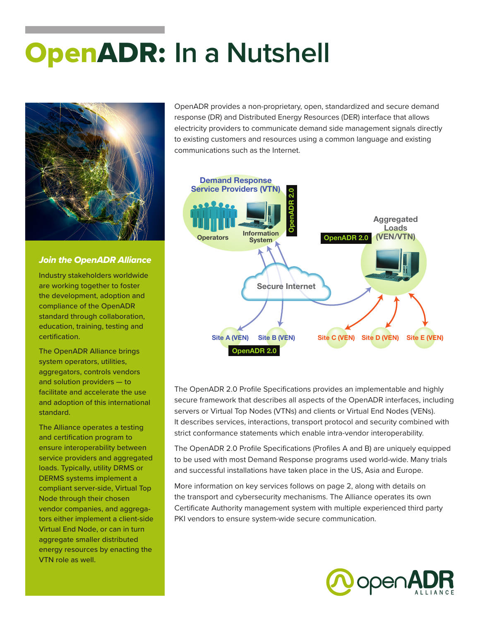# OpenADR: **In a Nutshell**



#### *Join the OpenADR Alliance*

Industry stakeholders worldwide are working together to foster the development, adoption and compliance of the OpenADR standard through collaboration, education, training, testing and certification.

The OpenADR Alliance brings system operators, utilities, aggregators, controls vendors and solution providers — to facilitate and accelerate the use and adoption of this international standard.

The Alliance operates a testing and certification program to ensure interoperability between service providers and aggregated loads. Typically, utility DRMS or DERMS systems implement a compliant server-side, Virtual Top Node through their chosen vendor companies, and aggregators either implement a client-side Virtual End Node, or can in turn aggregate smaller distributed energy resources by enacting the VTN role as well.

OpenADR provides a non-proprietary, open, standardized and secure demand response (DR) and Distributed Energy Resources (DER) interface that allows electricity providers to communicate demand side management signals directly to existing customers and resources using a common language and existing communications such as the Internet.



The OpenADR 2.0 Profile Specifications provides an implementable and highly secure framework that describes all aspects of the OpenADR interfaces, including servers or Virtual Top Nodes (VTNs) and clients or Virtual End Nodes (VENs). It describes services, interactions, transport protocol and security combined with strict conformance statements which enable intra-vendor interoperability.

The OpenADR 2.0 Profile Specifications (Profiles A and B) are uniquely equipped to be used with most Demand Response programs used world-wide. Many trials and successful installations have taken place in the US, Asia and Europe.

More information on key services follows on page 2, along with details on the transport and cybersecurity mechanisms. The Alliance operates its own Certificate Authority management system with multiple experienced third party PKI vendors to ensure system-wide secure communication.